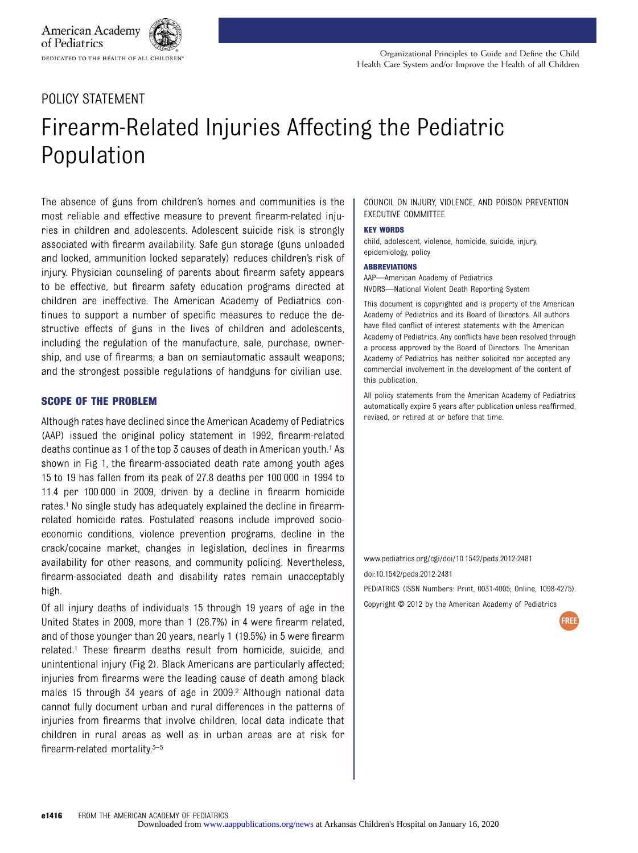# POLICY STATEMENT

American Academy of Pediatrics

DEDICATED TO THE HEALTH OF ALL CHILDREN"

# Firearm-Related Injuries Affecting the Pediatric Population

The absence of guns from children's homes and communities is the most reliable and effective measure to prevent firearm-related injuries in children and adolescents. Adolescent suicide risk is strongly associated with firearm availability. Safe gun storage (guns unloaded and locked, ammunition locked separately) reduces children's risk of injury. Physician counseling of parents about firearm safety appears to be effective, but firearm safety education programs directed at children are ineffective. The American Academy of Pediatrics continues to support a number of specific measures to reduce the destructive effects of guns in the lives of children and adolescents, including the regulation of the manufacture, sale, purchase, ownership, and use of firearms; a ban on semiautomatic assault weapons; and the strongest possible regulations of handguns for civilian use.

# SCOPE OF THE PROBLEM

Although rates have declined since the American Academy of Pediatrics (AAP) issued the original policy statement in 1992, firearm-related deaths continue as 1 of the top 3 causes of death in American youth.1 As shown in Fig 1, the firearm-associated death rate among youth ages 15 to 19 has fallen from its peak of 27.8 deaths per 100 000 in 1994 to 11.4 per 100 000 in 2009, driven by a decline in firearm homicide rates.1 No single study has adequately explained the decline in firearmrelated homicide rates. Postulated reasons include improved socioeconomic conditions, violence prevention programs, decline in the crack/cocaine market, changes in legislation, declines in firearms availability for other reasons, and community policing. Nevertheless, firearm-associated death and disability rates remain unacceptably high.

Of all injury deaths of individuals 15 through 19 years of age in the United States in 2009, more than 1 (28.7%) in 4 were firearm related, and of those younger than 20 years, nearly 1 (19.5%) in 5 were firearm related.1 These firearm deaths result from homicide, suicide, and unintentional injury (Fig 2). Black Americans are particularly affected; injuries from firearms were the leading cause of death among black males 15 through 34 years of age in 2009.2 Although national data cannot fully document urban and rural differences in the patterns of injuries from firearms that involve children, local data indicate that children in rural areas as well as in urban areas are at risk for firearm-related mortality.3–<sup>5</sup>

COUNCIL ON INJURY, VIOLENCE, AND POISON PREVENTION EXECUTIVE COMMITTEE

#### KEY WORDS

child, adolescent, violence, homicide, suicide, injury, epidemiology, policy

#### ABBREVIATIONS

AAP—American Academy of Pediatrics NVDRS—National Violent Death Reporting System

This document is copyrighted and is property of the American Academy of Pediatrics and its Board of Directors. All authors have filed conflict of interest statements with the American Academy of Pediatrics. Any conflicts have been resolved through a process approved by the Board of Directors. The American Academy of Pediatrics has neither solicited nor accepted any commercial involvement in the development of the content of this publication.

All policy statements from the American Academy of Pediatrics automatically expire 5 years after publication unless reaffirmed, revised, or retired at or before that time.

www.pediatrics.org/cgi/doi/10.1542/peds.2012-2481 doi:10.1542/peds.2012-2481

PEDIATRICS (ISSN Numbers: Print, 0031-4005; Online, 1098-4275).

Copyright © 2012 by the American Academy of Pediatrics

**FRFF**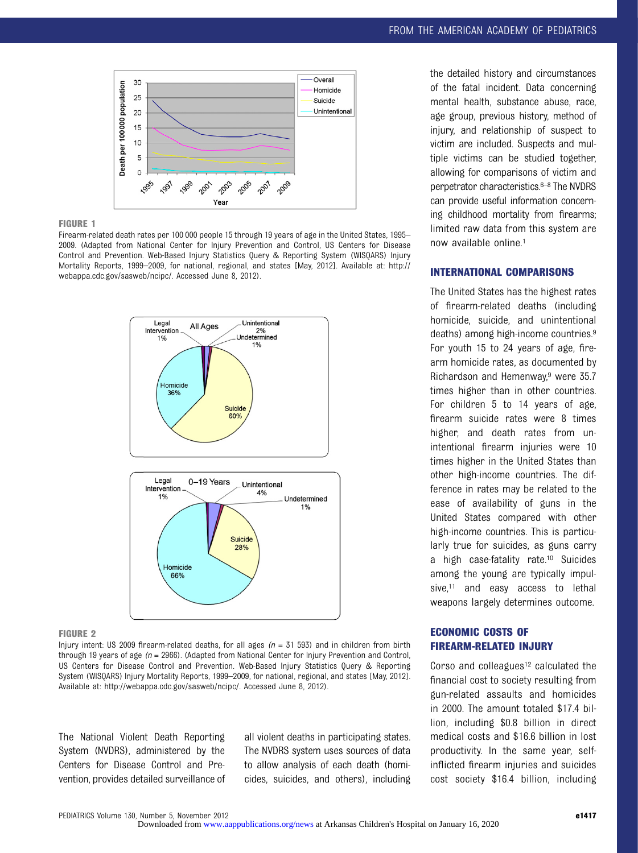

#### FIGURE 1

Firearm-related death rates per 100 000 people 15 through 19 years of age in the United States, 1995– 2009. (Adapted from National Center for Injury Prevention and Control, US Centers for Disease Control and Prevention. Web-Based Injury Statistics Query & Reporting System (WISQARS) Injury Mortality Reports, 1999–2009, for national, regional, and states [May, 2012]. Available at: [http://](http://webappa.cdc.gov/sasweb/ncipc/) [webappa.cdc.gov/sasweb/ncipc/](http://webappa.cdc.gov/sasweb/ncipc/). Accessed June 8, 2012).



#### FIGURE 2

Injury intent: US 2009 firearm-related deaths, for all ages  $(n = 31\,593)$  and in children from birth through 19 years of age  $(n = 2966)$ . (Adapted from National Center for Injury Prevention and Control, US Centers for Disease Control and Prevention. Web-Based Injury Statistics Query & Reporting System (WISQARS) Injury Mortality Reports, 1999–2009, for national, regional, and states [May, 2012]. Available at:<http://webappa.cdc.gov/sasweb/ncipc/>. Accessed June 8, 2012).

The National Violent Death Reporting System (NVDRS), administered by the Centers for Disease Control and Prevention, provides detailed surveillance of

all violent deaths in participating states. The NVDRS system uses sources of data to allow analysis of each death (homicides, suicides, and others), including the detailed history and circumstances of the fatal incident. Data concerning mental health, substance abuse, race, age group, previous history, method of injury, and relationship of suspect to victim are included. Suspects and multiple victims can be studied together, allowing for comparisons of victim and perpetrator characteristics.6–<sup>8</sup> The NVDRS can provide useful information concerning childhood mortality from firearms; limited raw data from this system are now available online.1

#### INTERNATIONAL COMPARISONS

The United States has the highest rates of firearm-related deaths (including homicide, suicide, and unintentional deaths) among high-income countries.9 For youth 15 to 24 years of age, firearm homicide rates, as documented by Richardson and Hemenway,<sup>9</sup> were 35.7 times higher than in other countries. For children 5 to 14 years of age, firearm suicide rates were 8 times higher, and death rates from unintentional firearm injuries were 10 times higher in the United States than other high-income countries. The difference in rates may be related to the ease of availability of guns in the United States compared with other high-income countries. This is particularly true for suicides, as guns carry a high case-fatality rate.10 Suicides among the young are typically impulsive,<sup>11</sup> and easy access to lethal weapons largely determines outcome.

# ECONOMIC COSTS OF FIREARM-RELATED INJURY

Corso and colleagues<sup>12</sup> calculated the financial cost to society resulting from gun-related assaults and homicides in 2000. The amount totaled \$17.4 billion, including \$0.8 billion in direct medical costs and \$16.6 billion in lost productivity. In the same year, selfinflicted firearm injuries and suicides cost society \$16.4 billion, including

Downloaded from www.aappublications.org/news at Arkansas Children's Hospital on January 16, 2020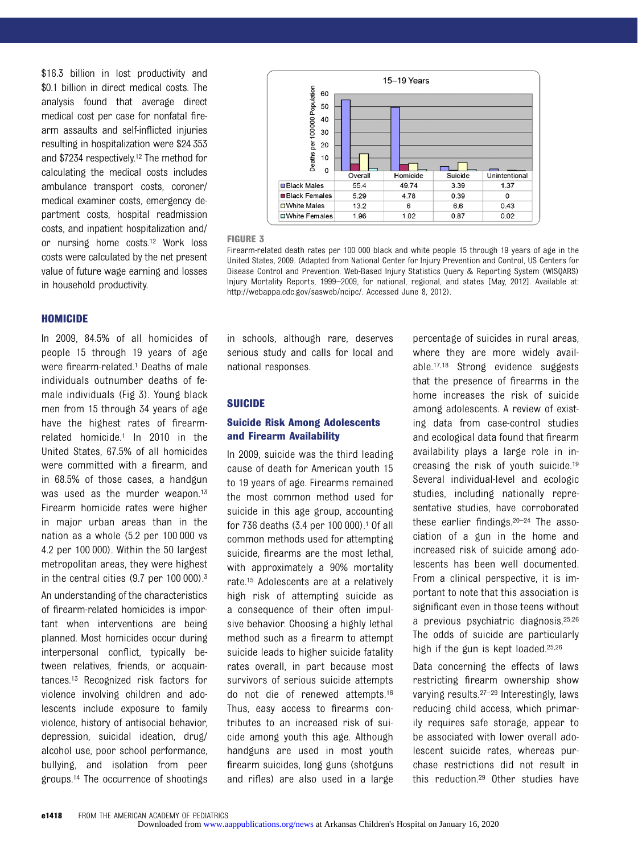\$16.3 billion in lost productivity and \$0.1 billion in direct medical costs. The analysis found that average direct medical cost per case for nonfatal firearm assaults and self-inflicted injuries resulting in hospitalization were \$24 353 and \$7234 respectively.12 The method for calculating the medical costs includes ambulance transport costs, coroner/ medical examiner costs, emergency department costs, hospital readmission costs, and inpatient hospitalization and/ or nursing home costs.12 Work loss costs were calculated by the net present value of future wage earning and losses in household productivity.

#### HOMICIDE

In 2009, 84.5% of all homicides of people 15 through 19 years of age were firearm-related.<sup>1</sup> Deaths of male individuals outnumber deaths of female individuals (Fig 3). Young black men from 15 through 34 years of age have the highest rates of firearmrelated homicide.1 In 2010 in the United States, 67.5% of all homicides were committed with a firearm, and in 68.5% of those cases, a handgun was used as the murder weapon.<sup>13</sup> Firearm homicide rates were higher in major urban areas than in the nation as a whole (5.2 per 100 000 vs 4.2 per 100 000). Within the 50 largest metropolitan areas, they were highest in the central cities (9.7 per 100 000).3 An understanding of the characteristics of firearm-related homicides is important when interventions are being planned. Most homicides occur during interpersonal conflict, typically between relatives, friends, or acquaintances.13 Recognized risk factors for violence involving children and adolescents include exposure to family violence, history of antisocial behavior, depression, suicidal ideation, drug/ alcohol use, poor school performance, bullying, and isolation from peer groups.14 The occurrence of shootings



#### FIGURE 3

Firearm-related death rates per 100 000 black and white people 15 through 19 years of age in the United States, 2009. (Adapted from National Center for Injury Prevention and Control, US Centers for Disease Control and Prevention. Web-Based Injury Statistics Query & Reporting System (WISQARS) Injury Mortality Reports, 1999–2009, for national, regional, and states [May, 2012]. Available at: [http://webappa.cdc.gov/sasweb/ncipc/.](http://webappa.cdc.gov/sasweb/ncipc/) Accessed June 8, 2012).

in schools, although rare, deserves serious study and calls for local and national responses.

#### **SUICIDE**

# Suicide Risk Among Adolescents and Firearm Availability

In 2009, suicide was the third leading cause of death for American youth 15 to 19 years of age. Firearms remained the most common method used for suicide in this age group, accounting for 736 deaths (3.4 per 100 000).1 Of all common methods used for attempting suicide, firearms are the most lethal, with approximately a 90% mortality rate.15 Adolescents are at a relatively high risk of attempting suicide as a consequence of their often impulsive behavior. Choosing a highly lethal method such as a firearm to attempt suicide leads to higher suicide fatality rates overall, in part because most survivors of serious suicide attempts do not die of renewed attempts.16 Thus, easy access to firearms contributes to an increased risk of suicide among youth this age. Although handguns are used in most youth firearm suicides, long guns (shotguns and rifles) are also used in a large

percentage of suicides in rural areas, where they are more widely available.17,18 Strong evidence suggests that the presence of firearms in the home increases the risk of suicide among adolescents. A review of existing data from case-control studies and ecological data found that firearm availability plays a large role in increasing the risk of youth suicide.19 Several individual-level and ecologic studies, including nationally representative studies, have corroborated these earlier findings.20–<sup>24</sup> The association of a gun in the home and increased risk of suicide among adolescents has been well documented. From a clinical perspective, it is important to note that this association is significant even in those teens without a previous psychiatric diagnosis.25,26 The odds of suicide are particularly high if the gun is kept loaded.25,26

Data concerning the effects of laws restricting firearm ownership show varying results.27–<sup>29</sup> Interestingly, laws reducing child access, which primarily requires safe storage, appear to be associated with lower overall adolescent suicide rates, whereas purchase restrictions did not result in this reduction.29 Other studies have

e1418 FROM THE AMERICAN ACADEMY OF PEDIATRICS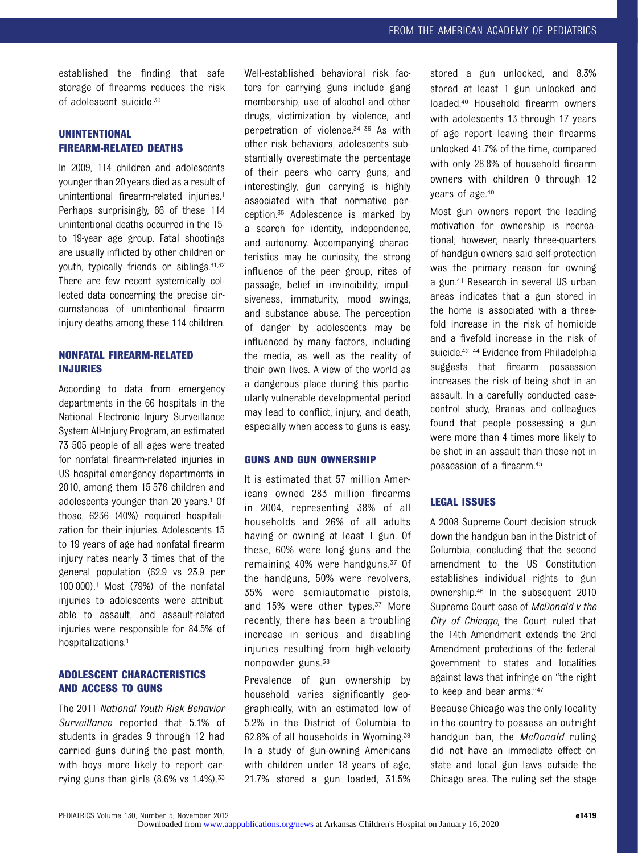established the finding that safe storage of firearms reduces the risk of adolescent suicide.30

# UNINTENTIONAL FIREARM-RELATED DEATHS

In 2009, 114 children and adolescents younger than 20 years died as a result of unintentional firearm-related injuries.<sup>1</sup> Perhaps surprisingly, 66 of these 114 unintentional deaths occurred in the 15 to 19-year age group. Fatal shootings are usually inflicted by other children or youth, typically friends or siblings.31,32 There are few recent systemically collected data concerning the precise circumstances of unintentional firearm injury deaths among these 114 children.

# NONFATAL FIREARM-RELATED INJURIES

According to data from emergency departments in the 66 hospitals in the National Electronic Injury Surveillance System All-Injury Program, an estimated 73 505 people of all ages were treated for nonfatal firearm-related injuries in US hospital emergency departments in 2010, among them 15 576 children and adolescents younger than 20 years.<sup>1</sup> Of those, 6236 (40%) required hospitalization for their injuries. Adolescents 15 to 19 years of age had nonfatal firearm injury rates nearly 3 times that of the general population (62.9 vs 23.9 per 100 000).1 Most (79%) of the nonfatal injuries to adolescents were attributable to assault, and assault-related injuries were responsible for 84.5% of hospitalizations.1

# ADOLESCENT CHARACTERISTICS AND ACCESS TO GUNS

The 2011 National Youth Risk Behavior Surveillance reported that 5.1% of students in grades 9 through 12 had carried guns during the past month, with boys more likely to report carrying guns than girls  $(8.6\% \text{ vs } 1.4\%)$ .<sup>33</sup> Well-established behavioral risk factors for carrying guns include gang membership, use of alcohol and other drugs, victimization by violence, and perpetration of violence.<sup>34-36</sup> As with other risk behaviors, adolescents substantially overestimate the percentage of their peers who carry guns, and interestingly, gun carrying is highly associated with that normative perception.35 Adolescence is marked by a search for identity, independence, and autonomy. Accompanying characteristics may be curiosity, the strong influence of the peer group, rites of passage, belief in invincibility, impulsiveness, immaturity, mood swings, and substance abuse. The perception of danger by adolescents may be influenced by many factors, including the media, as well as the reality of their own lives. A view of the world as a dangerous place during this particularly vulnerable developmental period may lead to conflict, injury, and death, especially when access to guns is easy.

# GUNS AND GUN OWNERSHIP

It is estimated that 57 million Americans owned 283 million firearms in 2004, representing 38% of all households and 26% of all adults having or owning at least 1 gun. Of these, 60% were long guns and the remaining 40% were handguns.37 Of the handguns, 50% were revolvers, 35% were semiautomatic pistols, and 15% were other types.37 More recently, there has been a troubling increase in serious and disabling injuries resulting from high-velocity nonpowder guns.38

Prevalence of gun ownership by household varies significantly geographically, with an estimated low of 5.2% in the District of Columbia to 62.8% of all households in Wyoming.39 In a study of gun-owning Americans with children under 18 years of age, 21.7% stored a gun loaded, 31.5%

stored a gun unlocked, and 8.3% stored at least 1 gun unlocked and loaded.40 Household firearm owners with adolescents 13 through 17 years of age report leaving their firearms unlocked 41.7% of the time, compared with only 28.8% of household firearm owners with children 0 through 12 years of age.40

Most gun owners report the leading motivation for ownership is recreational; however, nearly three-quarters of handgun owners said self-protection was the primary reason for owning a gun.41 Research in several US urban areas indicates that a gun stored in the home is associated with a threefold increase in the risk of homicide and a fivefold increase in the risk of suicide.42–<sup>44</sup> Evidence from Philadelphia suggests that firearm possession increases the risk of being shot in an assault. In a carefully conducted casecontrol study, Branas and colleagues found that people possessing a gun were more than 4 times more likely to be shot in an assault than those not in possession of a firearm.45

# LEGAL ISSUES

A 2008 Supreme Court decision struck down the handgun ban in the District of Columbia, concluding that the second amendment to the US Constitution establishes individual rights to gun ownership.46 In the subsequent 2010 Supreme Court case of McDonald v the City of Chicago, the Court ruled that the 14th Amendment extends the 2nd Amendment protections of the federal government to states and localities against laws that infringe on "the right to keep and bear arms."<sup>47</sup>

Because Chicago was the only locality in the country to possess an outright handgun ban, the McDonald ruling did not have an immediate effect on state and local gun laws outside the Chicago area. The ruling set the stage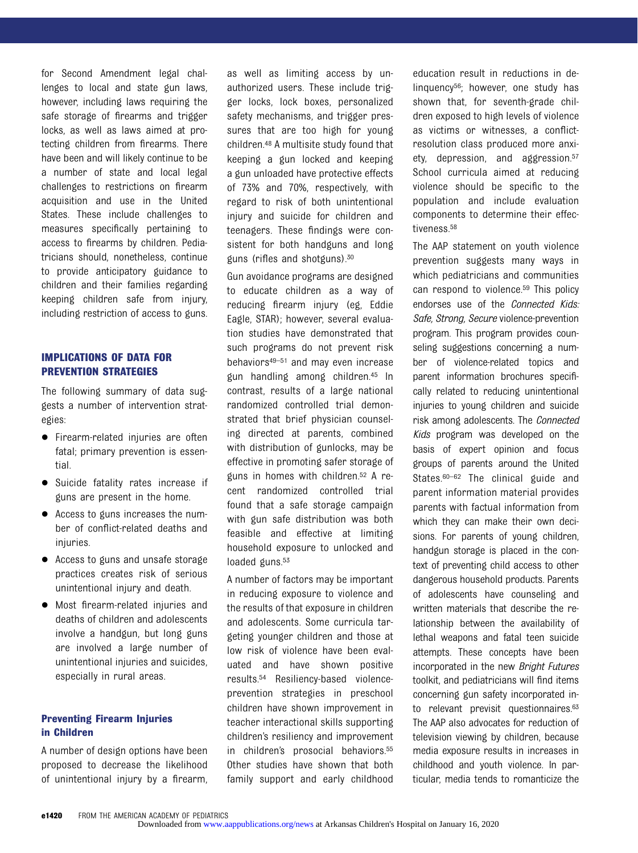for Second Amendment legal challenges to local and state gun laws, however, including laws requiring the safe storage of firearms and trigger locks, as well as laws aimed at protecting children from firearms. There have been and will likely continue to be a number of state and local legal challenges to restrictions on firearm acquisition and use in the United States. These include challenges to measures specifically pertaining to access to firearms by children. Pediatricians should, nonetheless, continue to provide anticipatory guidance to children and their families regarding keeping children safe from injury, including restriction of access to guns.

# IMPLICATIONS OF DATA FOR PREVENTION STRATEGIES

The following summary of data suggests a number of intervention strategies:

- **•** Firearm-related injuries are often fatal; primary prevention is essential.
- **•** Suicide fatality rates increase if guns are present in the home.
- Access to guns increases the number of conflict-related deaths and injuries.
- Access to guns and unsafe storage practices creates risk of serious unintentional injury and death.
- Most firearm-related injuries and deaths of children and adolescents involve a handgun, but long guns are involved a large number of unintentional injuries and suicides, especially in rural areas.

# Preventing Firearm Injuries in Children

A number of design options have been proposed to decrease the likelihood of unintentional injury by a firearm,

as well as limiting access by unauthorized users. These include trigger locks, lock boxes, personalized safety mechanisms, and trigger pressures that are too high for young children.48 A multisite study found that keeping a gun locked and keeping a gun unloaded have protective effects of 73% and 70%, respectively, with regard to risk of both unintentional injury and suicide for children and teenagers. These findings were consistent for both handguns and long guns (rifles and shotguns).30

Gun avoidance programs are designed to educate children as a way of reducing firearm injury (eg, Eddie Eagle, STAR); however, several evaluation studies have demonstrated that such programs do not prevent risk behaviors49–<sup>51</sup> and may even increase gun handling among children.45 In contrast, results of a large national randomized controlled trial demonstrated that brief physician counseling directed at parents, combined with distribution of gunlocks, may be effective in promoting safer storage of guns in homes with children.52 A recent randomized controlled trial found that a safe storage campaign with gun safe distribution was both feasible and effective at limiting household exposure to unlocked and loaded guns.<sup>53</sup>

A number of factors may be important in reducing exposure to violence and the results of that exposure in children and adolescents. Some curricula targeting younger children and those at low risk of violence have been evaluated and have shown positive results.54 Resiliency-based violenceprevention strategies in preschool children have shown improvement in teacher interactional skills supporting children's resiliency and improvement in children's prosocial behaviors.55 Other studies have shown that both family support and early childhood

education result in reductions in delinquency56; however, one study has shown that, for seventh-grade children exposed to high levels of violence as victims or witnesses, a conflictresolution class produced more anxiety, depression, and aggression.57 School curricula aimed at reducing violence should be specific to the population and include evaluation components to determine their effectiveness.58

The AAP statement on youth violence prevention suggests many ways in which pediatricians and communities can respond to violence.59 This policy endorses use of the Connected Kids: Safe, Strong, Secure violence-prevention program. This program provides counseling suggestions concerning a number of violence-related topics and parent information brochures specifically related to reducing unintentional injuries to young children and suicide risk among adolescents. The Connected Kids program was developed on the basis of expert opinion and focus groups of parents around the United States.<sup>60–62</sup> The clinical guide and parent information material provides parents with factual information from which they can make their own decisions. For parents of young children, handgun storage is placed in the context of preventing child access to other dangerous household products. Parents of adolescents have counseling and written materials that describe the relationship between the availability of lethal weapons and fatal teen suicide attempts. These concepts have been incorporated in the new Bright Futures toolkit, and pediatricians will find items concerning gun safety incorporated into relevant previsit questionnaires.<sup>63</sup> The AAP also advocates for reduction of television viewing by children, because media exposure results in increases in childhood and youth violence. In particular, media tends to romanticize the

e1420 FROM THE AMERICAN ACADEMY OF PEDIATRICS

Downloaded from www.aappublications.org/news at Arkansas Children's Hospital on January 16, 2020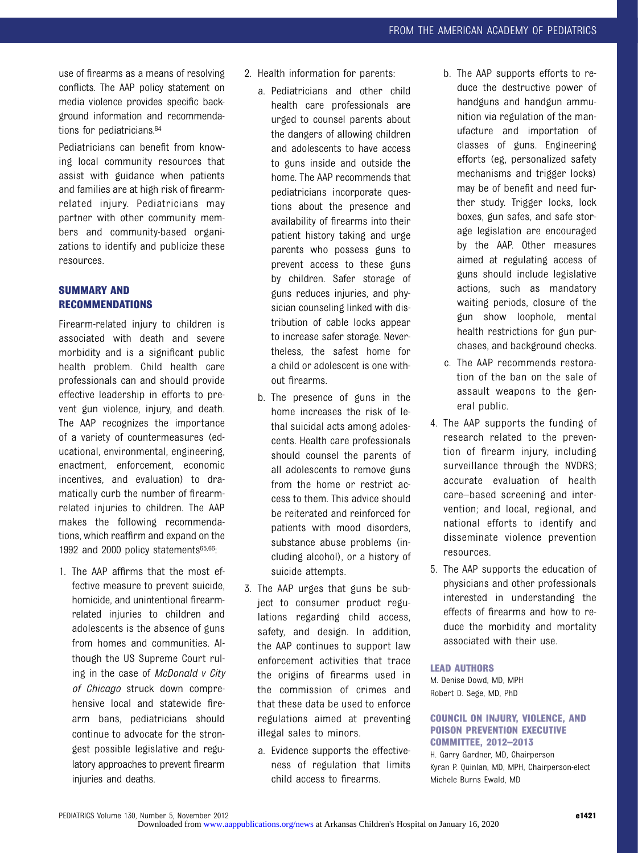use of firearms as a means of resolving conflicts. The AAP policy statement on media violence provides specific background information and recommendations for pediatricians.<sup>64</sup>

Pediatricians can benefit from knowing local community resources that assist with guidance when patients and families are at high risk of firearmrelated injury. Pediatricians may partner with other community members and community-based organizations to identify and publicize these resources.

# SUMMARY AND RECOMMENDATIONS

Firearm-related injury to children is associated with death and severe morbidity and is a significant public health problem. Child health care professionals can and should provide effective leadership in efforts to prevent gun violence, injury, and death. The AAP recognizes the importance of a variety of countermeasures (educational, environmental, engineering, enactment, enforcement, economic incentives, and evaluation) to dramatically curb the number of firearmrelated injuries to children. The AAP makes the following recommendations, which reaffirm and expand on the 1992 and 2000 policy statements<sup>65,66</sup>:

1. The AAP affirms that the most effective measure to prevent suicide, homicide, and unintentional firearmrelated injuries to children and adolescents is the absence of guns from homes and communities. Although the US Supreme Court ruling in the case of *McDonald v Citv* of Chicago struck down comprehensive local and statewide firearm bans, pediatricians should continue to advocate for the strongest possible legislative and regulatory approaches to prevent firearm injuries and deaths.

- 2. Health information for parents:
	- a. Pediatricians and other child health care professionals are urged to counsel parents about the dangers of allowing children and adolescents to have access to guns inside and outside the home. The AAP recommends that pediatricians incorporate questions about the presence and availability of firearms into their patient history taking and urge parents who possess guns to prevent access to these guns by children. Safer storage of guns reduces injuries, and physician counseling linked with distribution of cable locks appear to increase safer storage. Nevertheless, the safest home for a child or adolescent is one without firearms.
	- b. The presence of guns in the home increases the risk of lethal suicidal acts among adolescents. Health care professionals should counsel the parents of all adolescents to remove guns from the home or restrict access to them. This advice should be reiterated and reinforced for patients with mood disorders, substance abuse problems (including alcohol), or a history of suicide attempts.
- 3. The AAP urges that guns be subject to consumer product regulations regarding child access, safety, and design. In addition, the AAP continues to support law enforcement activities that trace the origins of firearms used in the commission of crimes and that these data be used to enforce regulations aimed at preventing illegal sales to minors.
	- a. Evidence supports the effectiveness of regulation that limits child access to firearms.
- b. The AAP supports efforts to reduce the destructive power of handguns and handgun ammunition via regulation of the manufacture and importation of classes of guns. Engineering efforts (eg, personalized safety mechanisms and trigger locks) may be of benefit and need further study. Trigger locks, lock boxes, gun safes, and safe storage legislation are encouraged by the AAP. Other measures aimed at regulating access of guns should include legislative actions, such as mandatory waiting periods, closure of the gun show loophole, mental health restrictions for gun purchases, and background checks.
- c. The AAP recommends restoration of the ban on the sale of assault weapons to the general public.
- 4. The AAP supports the funding of research related to the prevention of firearm injury, including surveillance through the NVDRS; accurate evaluation of health care–based screening and intervention; and local, regional, and national efforts to identify and disseminate violence prevention resources.
- 5. The AAP supports the education of physicians and other professionals interested in understanding the effects of firearms and how to reduce the morbidity and mortality associated with their use.

#### LEAD AUTHORS

M. Denise Dowd, MD, MPH Robert D. Sege, MD, PhD

#### COUNCIL ON INJURY, VIOLENCE, AND POISON PREVENTION EXECUTIVE COMMITTEE, 2012–2013

H. Garry Gardner, MD, Chairperson Kyran P. Quinlan, MD, MPH, Chairperson-elect Michele Burns Ewald, MD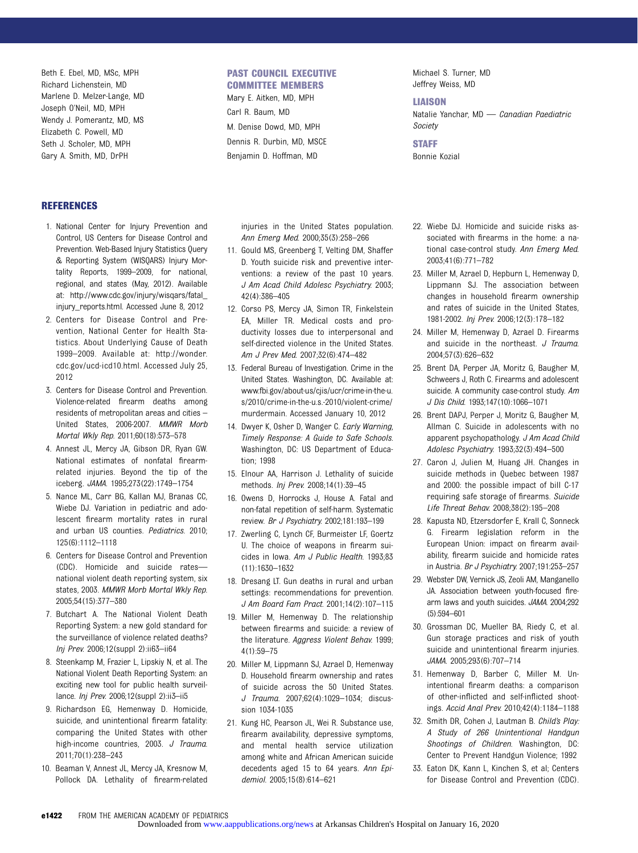Beth E. Ebel, MD, MSc, MPH Richard Lichenstein, MD Marlene D. Melzer-Lange, MD Joseph O'Neil, MD, MPH Wendy J. Pomerantz, MD, MS Elizabeth C. Powell, MD Seth J. Scholer, MD, MPH Gary A. Smith, MD, DrPH

#### REFERENCES

- 1. National Center for Injury Prevention and Control, US Centers for Disease Control and Prevention. Web-Based Injury Statistics Query & Reporting System (WISQARS) Injury Mortality Reports, 1999–2009, for national, regional, and states (May, 2012). Available at: [http://www.cdc.gov/injury/wisqars/fatal\\_](http://www.cdc.gov/injury/wisqars/fatal_injury_reports.html) [injury\\_reports.html.](http://www.cdc.gov/injury/wisqars/fatal_injury_reports.html) Accessed June 8, 2012
- 2. Centers for Disease Control and Prevention, National Center for Health Statistics. About Underlying Cause of Death 1999–2009. Available at: [http://wonder.](http://wonder.cdc.gov/ucd-icd10.html.) [cdc.gov/ucd-icd10.html.](http://wonder.cdc.gov/ucd-icd10.html.) Accessed July 25, 2012
- 3. Centers for Disease Control and Prevention. Violence-related firearm deaths among residents of metropolitan areas and cities – United States, 2006-2007. MMWR Morb Mortal Wkly Rep. 2011;60(18):573–578
- 4. Annest JL, Mercy JA, Gibson DR, Ryan GW. National estimates of nonfatal firearmrelated injuries. Beyond the tip of the iceberg. JAMA. 1995;273(22):1749–1754
- 5. Nance ML, Carr BG, Kallan MJ, Branas CC, Wiebe DJ. Variation in pediatric and adolescent firearm mortality rates in rural and urban US counties. Pediatrics. 2010; 125(6):1112–1118
- 6. Centers for Disease Control and Prevention (CDC). Homicide and suicide rates national violent death reporting system, six states, 2003. MMWR Morb Mortal Wkly Rep. 2005;54(15):377–380
- 7. Butchart A. The National Violent Death Reporting System: a new gold standard for the surveillance of violence related deaths? Inj Prev. 2006;12(suppl 2):ii63–ii64
- 8. Steenkamp M, Frazier L, Lipskiy N, et al. The National Violent Death Reporting System: an exciting new tool for public health surveillance. Inj Prev. 2006;12(suppl 2):ii3–ii5
- 9. Richardson EG, Hemenway D. Homicide, suicide, and unintentional firearm fatality: comparing the United States with other high-income countries, 2003. J Trauma. 2011;70(1):238–243
- 10. Beaman V, Annest JL, Mercy JA, Kresnow M, Pollock DA. Lethality of firearm-related

#### PAST COUNCIL EXECUTIVE COMMITTEE MEMBERS

Mary E. Aitken, MD, MPH Carl R. Baum, MD M. Denise Dowd, MD, MPH Dennis R. Durbin, MD, MSCE Benjamin D. Hoffman, MD

Michael S. Turner, MD Jeffrey Weiss, MD

#### LIAISON

Natalie Yanchar, MD — Canadian Paediatric Society

#### **STAFF**

Bonnie Kozial

- injuries in the United States population. Ann Emerg Med. 2000;35(3):258–266
- 11. Gould MS, Greenberg T, Velting DM, Shaffer D. Youth suicide risk and preventive interventions: a review of the past 10 years. J Am Acad Child Adolesc Psychiatry. 2003; 42(4):386–405
- 12. Corso PS, Mercy JA, Simon TR, Finkelstein EA, Miller TR. Medical costs and productivity losses due to interpersonal and self-directed violence in the United States. Am J Prev Med. 2007;32(6):474–482
- 13. Federal Bureau of Investigation. Crime in the United States. Washington, DC. Available at: [www.fbi.gov/about-us/cjis/ucr/crime-in-the-u.](www.fbi.gov/about-us/cjis/ucr/crime-in-the-u.s/2010/crime-in-the-u.s.-2010/violent-crime/murdermain) [s/2010/crime-in-the-u.s.-2010/violent-crime/](www.fbi.gov/about-us/cjis/ucr/crime-in-the-u.s/2010/crime-in-the-u.s.-2010/violent-crime/murdermain) [murdermain.](www.fbi.gov/about-us/cjis/ucr/crime-in-the-u.s/2010/crime-in-the-u.s.-2010/violent-crime/murdermain) Accessed January 10, 2012
- 14. Dwyer K, Osher D, Wanger C. Early Warning, Timely Response: A Guide to Safe Schools. Washington, DC: US Department of Education; 1998
- 15. Elnour AA, Harrison J. Lethality of suicide methods. Inj Prev. 2008;14(1):39–45
- 16. Owens D, Horrocks J, House A. Fatal and non-fatal repetition of self-harm. Systematic review. Br J Psychiatry. 2002;181:193–199
- 17. Zwerling C, Lynch CF, Burmeister LF, Goertz U. The choice of weapons in firearm suicides in Iowa. Am J Public Health. 1993;83 (11):1630–1632
- 18. Dresang LT. Gun deaths in rural and urban settings: recommendations for prevention. J Am Board Fam Pract. 2001;14(2):107–115
- 19. Miller M, Hemenway D. The relationship between firearms and suicide: a review of the literature. Aggress Violent Behav. 1999; 4(1):59–75
- 20. Miller M, Lippmann SJ, Azrael D, Hemenway D. Household firearm ownership and rates of suicide across the 50 United States. J Trauma. 2007;62(4):1029–1034; discussion 1034-1035
- 21. Kung HC, Pearson JL, Wei R. Substance use, firearm availability, depressive symptoms, and mental health service utilization among white and African American suicide decedents aged 15 to 64 years. Ann Epidemiol. 2005;15(8):614–621
- 22. Wiebe DJ. Homicide and suicide risks associated with firearms in the home: a national case-control study. Ann Emerg Med. 2003;41(6):771–782
- 23. Miller M, Azrael D, Hepburn L, Hemenway D, Lippmann SJ. The association between changes in household firearm ownership and rates of suicide in the United States, 1981-2002. Inj Prev. 2006;12(3):178–182
- 24. Miller M, Hemenway D, Azrael D. Firearms and suicide in the northeast.  $J$  Trauma. 2004;57(3):626–632
- 25. Brent DA, Perper JA, Moritz G, Baugher M, Schweers J, Roth C. Firearms and adolescent suicide. A community case-control study. Am J Dis Child. 1993;147(10):1066–1071
- 26. Brent DAPJ, Perper J, Moritz G, Baugher M, Allman C. Suicide in adolescents with no apparent psychopathology. J Am Acad Child Adolesc Psychiatry. 1993;32(3):494–500
- 27. Caron J, Julien M, Huang JH. Changes in suicide methods in Quebec between 1987 and 2000: the possible impact of bill C-17 requiring safe storage of firearms. Suicide Life Threat Behav. 2008;38(2):195–208
- 28. Kapusta ND, Etzersdorfer E, Krall C, Sonneck G. Firearm legislation reform in the European Union: impact on firearm availability, firearm suicide and homicide rates in Austria. Br J Psychiatry. 2007;191:253–257
- 29. Webster DW, Vernick JS, Zeoli AM, Manganello JA. Association between youth-focused firearm laws and youth suicides. JAMA. 2004;292 (5):594–601
- 30. Grossman DC, Mueller BA, Riedy C, et al. Gun storage practices and risk of youth suicide and unintentional firearm injuries. JAMA. 2005;293(6):707–714
- 31. Hemenway D, Barber C, Miller M. Unintentional firearm deaths: a comparison of other-inflicted and self-inflicted shootings. Accid Anal Prev. 2010;42(4):1184–1188
- 32. Smith DR, Cohen J, Lautman B. Child's Play: A Study of 266 Unintentional Handgun Shootings of Children. Washington, DC: Center to Prevent Handgun Violence; 1992
- 33. Eaton DK, Kann L, Kinchen S, et al; Centers for Disease Control and Prevention (CDC).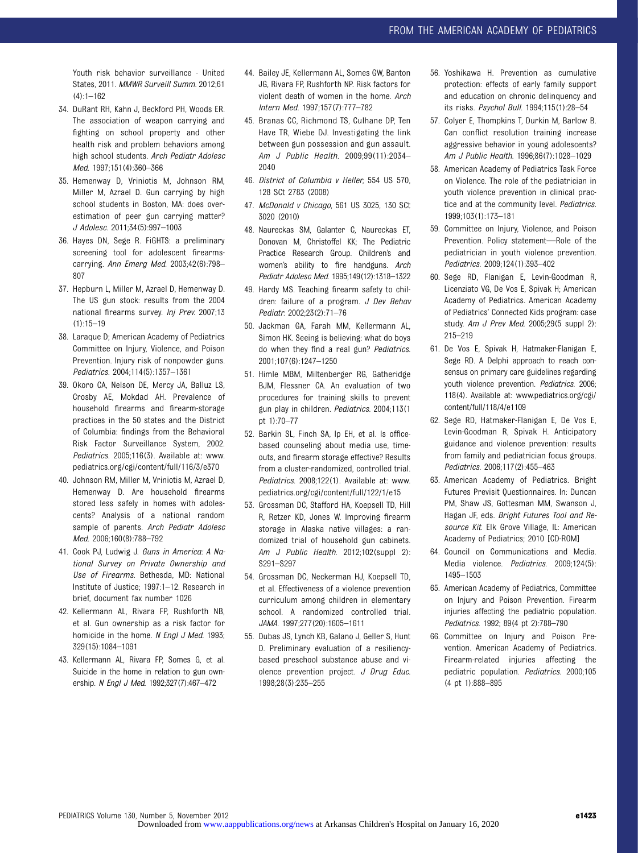Youth risk behavior surveillance - United States, 2011. MMWR Surveill Summ. 2012;61  $(4):1-162$ 

- 34. DuRant RH, Kahn J, Beckford PH, Woods ER. The association of weapon carrying and fighting on school property and other health risk and problem behaviors among high school students. Arch Pediatr Adolesc Med. 1997;151(4):360–366
- 35. Hemenway D, Vriniotis M, Johnson RM, Miller M, Azrael D. Gun carrying by high school students in Boston, MA: does overestimation of peer gun carrying matter? J Adolesc. 2011;34(5):997–1003
- 36. Hayes DN, Sege R. FiGHTS: a preliminary screening tool for adolescent firearmscarrying. Ann Emerg Med. 2003;42(6):798– 807
- 37. Hepburn L, Miller M, Azrael D, Hemenway D. The US gun stock: results from the 2004 national firearms survey. Inj Prev. 2007;13  $(1):15-19$
- 38. Laraque D; American Academy of Pediatrics Committee on Injury, Violence, and Poison Prevention. Injury risk of nonpowder guns. Pediatrics. 2004;114(5):1357–1361
- 39. Okoro CA, Nelson DE, Mercy JA, Balluz LS, Crosby AE, Mokdad AH. Prevalence of household firearms and firearm-storage practices in the 50 states and the District of Columbia: findings from the Behavioral Risk Factor Surveillance System, 2002. Pediatrics. 2005;116(3). Available at: www. pediatrics.org/cgi/content/full/116/3/e370
- 40. Johnson RM, Miller M, Vriniotis M, Azrael D, Hemenway D. Are household firearms stored less safely in homes with adolescents? Analysis of a national random sample of parents. Arch Pediatr Adolesc Med. 2006;160(8):788–792
- 41. Cook PJ, Ludwig J. Guns in America: A National Survey on Private Ownership and Use of Firearms. Bethesda, MD: National Institute of Justice; 1997:1–12. Research in brief, document fax number 1026
- 42. Kellermann AL, Rivara FP, Rushforth NB, et al. Gun ownership as a risk factor for homicide in the home. N Engl J Med. 1993; 329(15):1084–1091
- 43. Kellermann AL, Rivara FP, Somes G, et al. Suicide in the home in relation to gun ownership. N Engl J Med. 1992;327(7):467–472
- 44. Bailey JE, Kellermann AL, Somes GW, Banton JG, Rivara FP, Rushforth NP. Risk factors for violent death of women in the home. Arch Intern Med. 1997;157(7):777–782
- 45. Branas CC, Richmond TS, Culhane DP, Ten Have TR, Wiebe DJ. Investigating the link between gun possession and gun assault. Am J Public Health. 2009;99(11):2034– 2040
- 46. District of Columbia v Heller, 554 US 570, 128 SCt 2783 (2008)
- 47. McDonald v Chicago, 561 US 3025, 130 SCt 3020 (2010)
- 48. Naureckas SM, Galanter C, Naureckas ET, Donovan M, Christoffel KK; The Pediatric Practice Research Group. Children's and women's ability to fire handguns. Arch Pediatr Adolesc Med. 1995;149(12):1318–1322
- 49. Hardy MS. Teaching firearm safety to children: failure of a program. J Dev Behav Pediatr. 2002;23(2):71–76
- 50. Jackman GA, Farah MM, Kellermann AL, Simon HK. Seeing is believing: what do boys do when they find a real gun? Pediatrics. 2001;107(6):1247–1250
- 51. Himle MBM, Miltenberger RG, Gatheridge BJM, Flessner CA. An evaluation of two procedures for training skills to prevent gun play in children. Pediatrics. 2004;113(1 pt 1):70–77
- 52. Barkin SL, Finch SA, Ip EH, et al. Is officebased counseling about media use, timeouts, and firearm storage effective? Results from a cluster-randomized, controlled trial. Pediatrics. 2008;122(1). Available at: www. pediatrics.org/cgi/content/full/122/1/e15
- 53. Grossman DC, Stafford HA, Koepsell TD, Hill R, Retzer KD, Jones W. Improving firearm storage in Alaska native villages: a randomized trial of household gun cabinets. Am J Public Health. 2012;102(suppl 2): S291–S297
- 54. Grossman DC, Neckerman HJ, Koepsell TD, et al. Effectiveness of a violence prevention curriculum among children in elementary school. A randomized controlled trial. JAMA. 1997;277(20):1605–1611
- 55. Dubas JS, Lynch KB, Galano J, Geller S, Hunt D. Preliminary evaluation of a resiliencybased preschool substance abuse and violence prevention project. J Drug Educ. 1998;28(3):235–255
- 56. Yoshikawa H. Prevention as cumulative protection: effects of early family support and education on chronic delinquency and its risks. Psychol Bull. 1994;115(1):28–54
- 57. Colyer E, Thompkins T, Durkin M, Barlow B. Can conflict resolution training increase aggressive behavior in young adolescents? Am J Public Health. 1996;86(7):1028–1029
- 58. American Academy of Pediatrics Task Force on Violence. The role of the pediatrician in youth violence prevention in clinical practice and at the community level. Pediatrics. 1999;103(1):173–181
- 59. Committee on Injury, Violence, and Poison Prevention. Policy statement—Role of the pediatrician in youth violence prevention. Pediatrics. 2009;124(1):393–402
- 60. Sege RD, Flanigan E, Levin-Goodman R, Licenziato VG, De Vos E, Spivak H; American Academy of Pediatrics. American Academy of Pediatrics' Connected Kids program: case study. Am J Prev Med. 2005;29(5 suppl 2): 215–219
- 61. De Vos E, Spivak H, Hatmaker-Flanigan E, Sege RD. A Delphi approach to reach consensus on primary care guidelines regarding youth violence prevention. Pediatrics. 2006; 118(4). Available at: www.pediatrics.org/cgi/ content/full/118/4/e1109
- 62. Sege RD, Hatmaker-Flanigan E, De Vos E, Levin-Goodman R, Spivak H. Anticipatory guidance and violence prevention: results from family and pediatrician focus groups. Pediatrics. 2006;117(2):455–463
- 63. American Academy of Pediatrics. Bright Futures Previsit Questionnaires. In: Duncan PM, Shaw JS, Gottesman MM, Swanson J, Hagan JF, eds. Bright Futures Tool and Resource Kit. Elk Grove Village, IL: American Academy of Pediatrics; 2010 [CD-ROM]
- 64. Council on Communications and Media. Media violence. Pediatrics. 2009;124(5): 1495–1503
- 65. American Academy of Pediatrics, Committee on Injury and Poison Prevention. Firearm injuries affecting the pediatric population. Pediatrics. 1992; 89(4 pt 2):788–790
- 66. Committee on Injury and Poison Prevention. American Academy of Pediatrics. Firearm-related injuries affecting the pediatric population. Pediatrics. 2000;105 (4 pt 1):888–895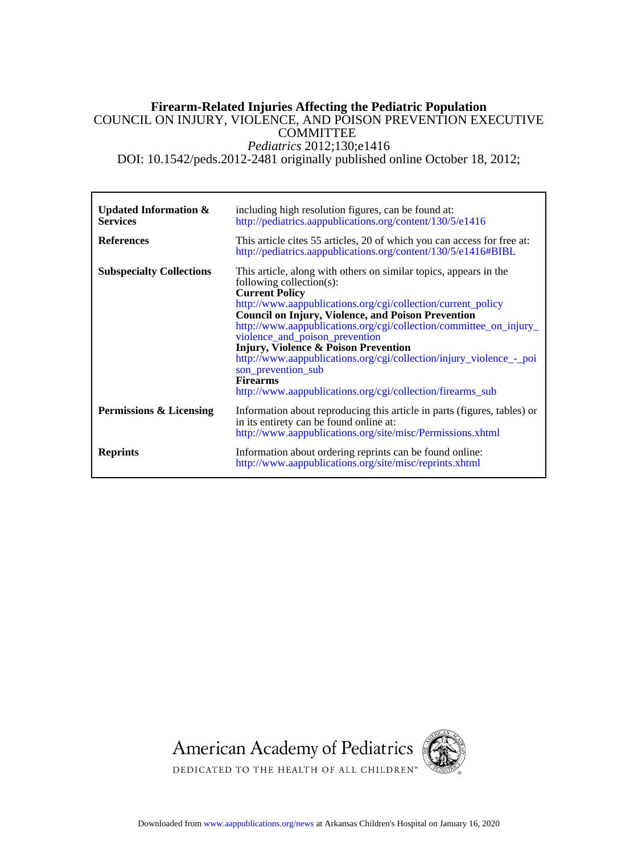# DOI: 10.1542/peds.2012-2481 originally published online October 18, 2012; *Pediatrics* 2012;130;e1416 COMMITTEE COUNCIL ON INJURY, VIOLENCE, AND POISON PREVENTION EXECUTIVE **Firearm-Related Injuries Affecting the Pediatric Population**

| Updated Information $\&$<br><b>Services</b><br><b>References</b> | including high resolution figures, can be found at:<br>http://pediatrics.aappublications.org/content/130/5/e1416<br>This article cites 55 articles, 20 of which you can access for free at:<br>http://pediatrics.aappublications.org/content/130/5/e1416#BIBL                                                                                                                                                                                                                                                                                                                     |
|------------------------------------------------------------------|-----------------------------------------------------------------------------------------------------------------------------------------------------------------------------------------------------------------------------------------------------------------------------------------------------------------------------------------------------------------------------------------------------------------------------------------------------------------------------------------------------------------------------------------------------------------------------------|
| <b>Subspecialty Collections</b>                                  | This article, along with others on similar topics, appears in the<br>following collection(s):<br><b>Current Policy</b><br>http://www.aappublications.org/cgi/collection/current_policy<br><b>Council on Injury, Violence, and Poison Prevention</b><br>http://www.aappublications.org/cgi/collection/committee_on_injury_<br>violence_and_poison_prevention<br>Injury, Violence & Poison Prevention<br>http://www.aappublications.org/cgi/collection/injury_violence_-_poi<br>son_prevention_sub<br><b>Firearms</b><br>http://www.aappublications.org/cgi/collection/firearms_sub |
| Permissions & Licensing                                          | Information about reproducing this article in parts (figures, tables) or<br>in its entirety can be found online at:<br>http://www.aappublications.org/site/misc/Permissions.xhtml                                                                                                                                                                                                                                                                                                                                                                                                 |
| <b>Reprints</b>                                                  | Information about ordering reprints can be found online:<br>http://www.aappublications.org/site/misc/reprints.xhtml                                                                                                                                                                                                                                                                                                                                                                                                                                                               |